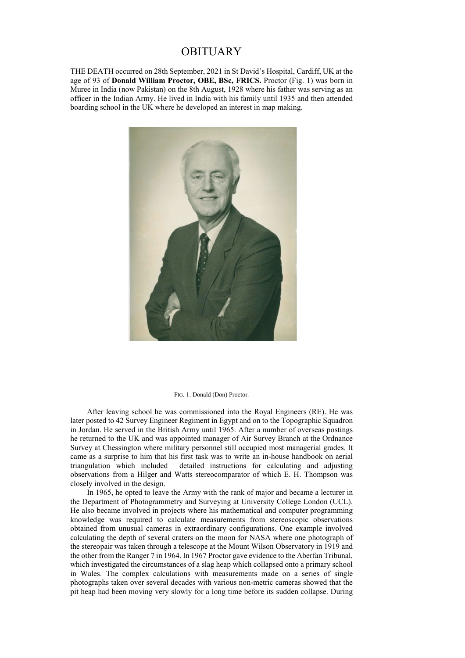## OBITUARY

THE DEATH occurred on 28th September, 2021 in St David's Hospital, Cardiff, UK at the age of 93 of **Donald William Proctor, OBE, BSc, FRICS.** Proctor (Fig. 1) was born in Muree in India (now Pakistan) on the 8th August, 1928 where his father was serving as an officer in the Indian Army. He lived in India with his family until 1935 and then attended boarding school in the UK where he developed an interest in map making.



## FIG. 1. Donald (Don) Proctor.

After leaving school he was commissioned into the Royal Engineers (RE). He was later posted to 42 Survey Engineer Regiment in Egypt and on to the Topographic Squadron in Jordan. He served in the British Army until 1965. After a number of overseas postings he returned to the UK and was appointed manager of Air Survey Branch at the Ordnance Survey at Chessington where military personnel still occupied most managerial grades. It came as a surprise to him that his first task was to write an in-house handbook on aerial triangulation which included detailed instructions for calculating and adjusting observations from a Hilger and Watts stereocomparator of which E. H. Thompson was closely involved in the design.

In 1965, he opted to leave the Army with the rank of major and became a lecturer in the Department of Photogrammetry and Surveying at University College London (UCL). He also became involved in projects where his mathematical and computer programming knowledge was required to calculate measurements from stereoscopic observations obtained from unusual cameras in extraordinary configurations. One example involved calculating the depth of several craters on the moon for NASA where one photograph of the stereopair was taken through a telescope at the Mount Wilson Observatory in 1919 and the other from the Ranger 7 in 1964. In 1967 Proctor gave evidence to the Aberfan Tribunal, which investigated the circumstances of a slag heap which collapsed onto a primary school in Wales. The complex calculations with measurements made on a series of single photographs taken over several decades with various non-metric cameras showed that the pit heap had been moving very slowly for a long time before its sudden collapse. During